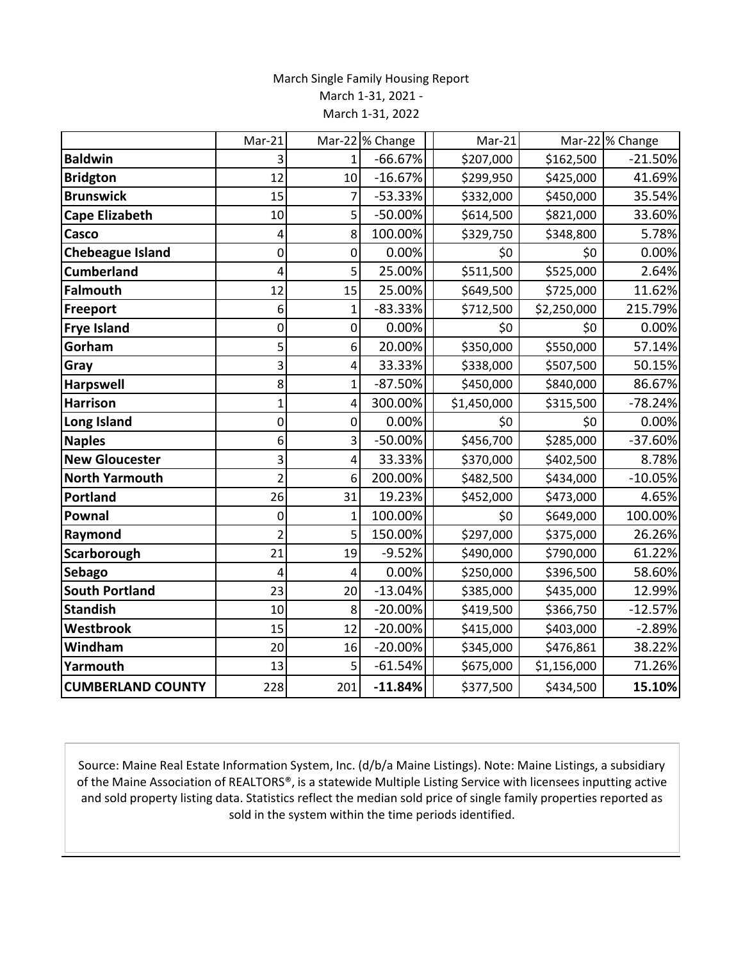## March Single Family Housing Report March 1-31, 2021 - March 1-31, 2022

|                          | Mar-21         |                | Mar-22 % Change | Mar-21      |             | Mar-22 % Change |
|--------------------------|----------------|----------------|-----------------|-------------|-------------|-----------------|
| <b>Baldwin</b>           | 3              | $\mathbf{1}$   | $-66.67%$       | \$207,000   | \$162,500   | $-21.50%$       |
| <b>Bridgton</b>          | 12             | 10             | $-16.67%$       | \$299,950   | \$425,000   | 41.69%          |
| <b>Brunswick</b>         | 15             | $\overline{7}$ | $-53.33%$       | \$332,000   | \$450,000   | 35.54%          |
| <b>Cape Elizabeth</b>    | 10             | 5              | -50.00%         | \$614,500   | \$821,000   | 33.60%          |
| Casco                    | 4              | 8              | 100.00%         | \$329,750   | \$348,800   | 5.78%           |
| <b>Chebeague Island</b>  | $\pmb{0}$      | 0              | 0.00%           | \$0         | \$0         | 0.00%           |
| <b>Cumberland</b>        | 4              | 5              | 25.00%          | \$511,500   | \$525,000   | 2.64%           |
| <b>Falmouth</b>          | 12             | 15             | 25.00%          | \$649,500   | \$725,000   | 11.62%          |
| Freeport                 | 6              | $\mathbf{1}$   | $-83.33%$       | \$712,500   | \$2,250,000 | 215.79%         |
| <b>Frye Island</b>       | 0              | 0              | 0.00%           | \$0         | \$0         | 0.00%           |
| Gorham                   | 5              | 6              | 20.00%          | \$350,000   | \$550,000   | 57.14%          |
| Gray                     | 3              | 4              | 33.33%          | \$338,000   | \$507,500   | 50.15%          |
| <b>Harpswell</b>         | 8              | 1              | $-87.50%$       | \$450,000   | \$840,000   | 86.67%          |
| <b>Harrison</b>          | 1              | 4              | 300.00%         | \$1,450,000 | \$315,500   | $-78.24%$       |
| Long Island              | 0              | 0              | 0.00%           | \$0         | \$0         | 0.00%           |
| <b>Naples</b>            | 6              | 3              | $-50.00%$       | \$456,700   | \$285,000   | $-37.60%$       |
| <b>New Gloucester</b>    | 3              | 4              | 33.33%          | \$370,000   | \$402,500   | 8.78%           |
| <b>North Yarmouth</b>    | $\overline{2}$ | 6              | 200.00%         | \$482,500   | \$434,000   | $-10.05%$       |
| <b>Portland</b>          | 26             | 31             | 19.23%          | \$452,000   | \$473,000   | 4.65%           |
| Pownal                   | 0              | $\mathbf{1}$   | 100.00%         | \$0         | \$649,000   | 100.00%         |
| Raymond                  | $\overline{2}$ | 5              | 150.00%         | \$297,000   | \$375,000   | 26.26%          |
| Scarborough              | 21             | 19             | $-9.52%$        | \$490,000   | \$790,000   | 61.22%          |
| <b>Sebago</b>            | 4              | 4              | 0.00%           | \$250,000   | \$396,500   | 58.60%          |
| <b>South Portland</b>    | 23             | 20             | $-13.04%$       | \$385,000   | \$435,000   | 12.99%          |
| <b>Standish</b>          | 10             | 8              | $-20.00%$       | \$419,500   | \$366,750   | $-12.57%$       |
| Westbrook                | 15             | 12             | $-20.00%$       | \$415,000   | \$403,000   | $-2.89%$        |
| Windham                  | 20             | 16             | $-20.00%$       | \$345,000   | \$476,861   | 38.22%          |
| Yarmouth                 | 13             | 5              | $-61.54%$       | \$675,000   | \$1,156,000 | 71.26%          |
| <b>CUMBERLAND COUNTY</b> | 228            | 201            | $-11.84%$       | \$377,500   | \$434,500   | 15.10%          |

Source: Maine Real Estate Information System, Inc. (d/b/a Maine Listings). Note: Maine Listings, a subsidiary of the Maine Association of REALTORS®, is a statewide Multiple Listing Service with licensees inputting active and sold property listing data. Statistics reflect the median sold price of single family properties reported as sold in the system within the time periods identified.